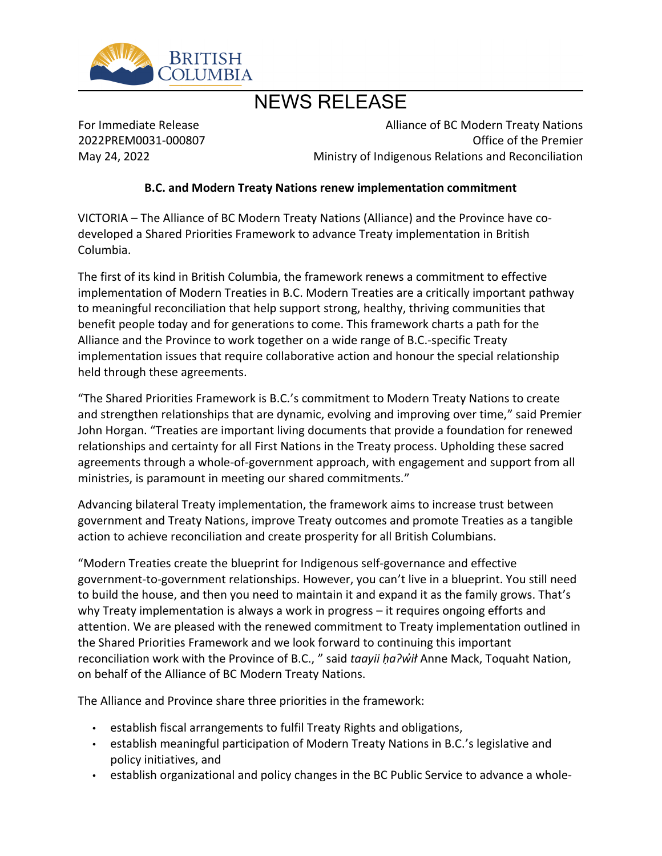

# NEWS RELEASE

For Immediate Release 2022PREM0031-000807 May 24, 2022

Alliance of BC Modern Treaty Nations Office of the Premier Ministry of Indigenous Relations and Reconciliation

#### **B.C. and Modern Treaty Nations renew implementation commitment**

VICTORIA – The Alliance of BC Modern Treaty Nations (Alliance) and the Province have codeveloped a Shared Priorities Framework to advance Treaty implementation in British Columbia.

The first of its kind in British Columbia, the framework renews a commitment to effective implementation of Modern Treaties in B.C. Modern Treaties are a critically important pathway to meaningful reconciliation that help support strong, healthy, thriving communities that benefit people today and for generations to come. This framework charts a path for the Alliance and the Province to work together on a wide range of B.C.-specific Treaty implementation issues that require collaborative action and honour the special relationship held through these agreements.

͞The Shared Priorities Framework is B.C.͛s commitment to Modern Treaty Nations to create and strengthen relationships that are dynamic, evolving and improving over time," said Premier John Horgan. "Treaties are important living documents that provide a foundation for renewed relationships and certainty for all First Nations in the Treaty process. Upholding these sacred agreements through a whole-of-government approach, with engagement and support from all ministries, is paramount in meeting our shared commitments.<sup>"</sup>

Advancing bilateral Treaty implementation, the framework aims to increase trust between government and Treaty Nations, improve Treaty outcomes and promote Treaties as a tangible action to achieve reconciliation and create prosperity for all British Columbians.

͞Modern Treaties create the blueprint for Indigenous self-governance and effective government-to-government relationships. However, you can͛t live in a blueprint. You still need to build the house, and then you need to maintain it and expand it as the family grows. That's why Treaty implementation is always a work in progress  $-$  it requires ongoing efforts and attention. We are pleased with the renewed commitment to Treaty implementation outlined in the Shared Priorities Framework and we look forward to continuing this important reconciliation work with the Province of B.C., " said *taayii ha?wil* Anne Mack, Toquaht Nation, on behalf of the Alliance of BC Modern Treaty Nations.

The Alliance and Province share three priorities in the framework:

- establish fiscal arrangements to fulfil Treaty Rights and obligations,
- establish meaningful participation of Modern Treaty Nations in B.C.'s legislative and policy initiatives, and
- establish organizational and policy changes in the BC Public Service to advance a whole-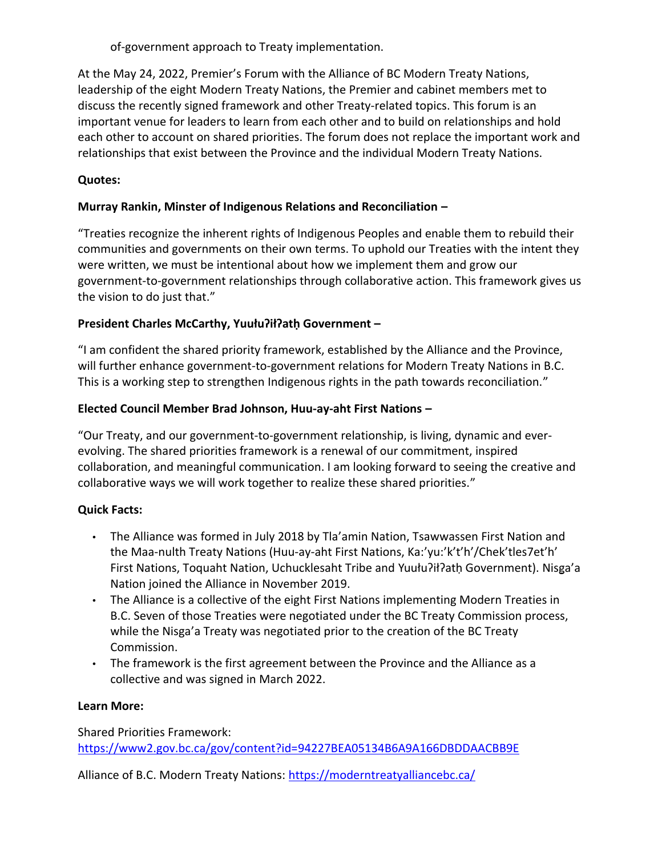of-government approach to Treaty implementation.

At the May 24, 2022, Premier's Forum with the Alliance of BC Modern Treaty Nations, leadership of the eight Modern Treaty Nations, the Premier and cabinet members met to discuss the recently signed framework and other Treaty-related topics. This forum is an important venue for leaders to learn from each other and to build on relationships and hold each other to account on shared priorities. The forum does not replace the important work and relationships that exist between the Province and the individual Modern Treaty Nations.

## **Quotes:**

## **Murray Rankin, Minster of Indigenous Relations and Reconciliation ʹ**

͞Treaties recognize the inherent rights of Indigenous Peoples and enable them to rebuild their communities and governments on their own terms. To uphold our Treaties with the intent they were written, we must be intentional about how we implement them and grow our government-to-government relationships through collaborative action. This framework gives us the vision to do just that."

## President Charles McCarthy, Yuułu?ił?ath Government -

͞I am confident the shared priority framework, established by the Alliance and the Province, will further enhance government-to-government relations for Modern Treaty Nations in B.C. This is a working step to strengthen Indigenous rights in the path towards reconciliation.<sup>"</sup>

## **Elected Council Member Brad Johnson, Huu-ay-aht First Nations -**

͞Our Treaty, and our government-to-government relationship, is living, dynamic and everevolving. The shared priorities framework is a renewal of our commitment, inspired collaboration, and meaningful communication. I am looking forward to seeing the creative and collaborative ways we will work together to realize these shared priorities.<sup>"</sup>

## **Quick Facts:**

- The Alliance was formed in July 2018 by Tla'amin Nation, Tsawwassen First Nation and the Maa-nulth Treaty Nations (Huu-ay-aht First Nations, Ka:'yu:'k't'h'/Chek'tles7et'h' First Nations, Toquaht Nation, Uchucklesaht Tribe and Yuułu?ił?ath Government). Nisga'a Nation joined the Alliance in November 2019.
- The Alliance is a collective of the eight First Nations implementing Modern Treaties in B.C. Seven of those Treaties were negotiated under the BC Treaty Commission process, while the Nisga'a Treaty was negotiated prior to the creation of the BC Treaty Commission.
- The framework is the first agreement between the Province and the Alliance as a collective and was signed in March 2022.

## **Learn More:**

Shared Priorities Framework: <https://www2.gov.bc.ca/gov/content?id=94227BEA05134B6A9A166DBDDAACBB9E>

Alliance of B.C. Modern Treaty Nations: <https://moderntreatyalliancebc.ca/>